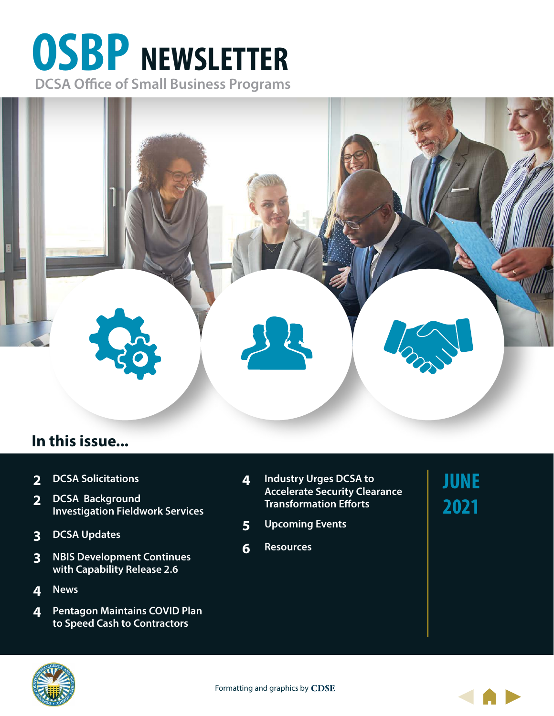# **OSBP NEWSLETTER DCSA Office of Small Business Programs**



# **In this issue...**

- **[2](#page-1-0) [DCSA Solicitations](#page-1-0)**
- **[2](#page-1-0) [DCSA Background](#page-1-0)  [Investigation Fieldwork Services](#page-1-0)**
- **3 [DCSA Updates](#page-2-0)**
- **[3](#page-3-0) [NBIS Development Continues](#page-2-0)  [with Capability Release 2.6](#page-2-0)**
- **4 [News](#page-3-0)**
- **4 [Pentagon Maintains COVID Plan](#page-3-0)  [to Speed Cash to Contractors](#page-3-0)**
- **4 [Industry Urges DCSA to](#page-3-0) [Accelerate Security Clearance](#page-3-0)  [Transformation Efforts](#page-3-0)**
- **5 [Upcoming Events](#page-4-0)**
- **6 [Resources](#page-5-0)**

**JUNE 2021**





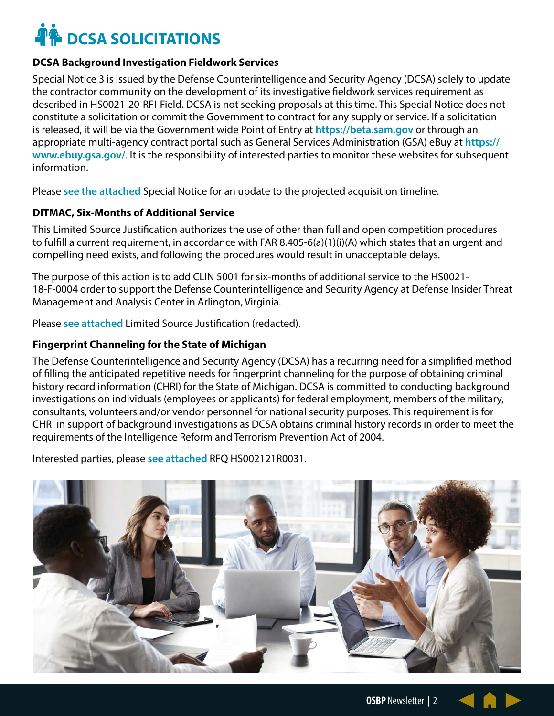# <span id="page-1-0"></span>**A** DCSA SOLICITATIONS

#### **DCSA Background Investigation Fieldwork Services**

Special Notice 3 is issued by the Defense Counterintelligence and Security Agency (DCSA) solely to update the contractor community on the development of its investigative fieldwork services requirement as described in HS0021-20-RFI-Field. DCSA is not seeking proposals at this time. This Special Notice does not constitute a solicitation or commit the Government to contract for any supply or service. If a solicitation is released, it will be via the Government wide Point of Entry at **https://beta.sam.gov** or through an appropriate multi-agency contract portal such as General Services Administration (GSA) eBuy at **https:// www.ebuy.gsa.gov/**. It is the responsibility of interested parties to monitor these websites for subsequent information.

Please **[see the attached](https://sam.gov/opp/b9241e140b064d4ea89583c61e01573b/review)** Special Notice for an update to the projected acquisition timeline.

## **DITMAC, Six-Months of Additional Service**

This Limited Source Justification authorizes the use of other than full and open competition procedures to fulfill a current requirement, in accordance with FAR 8.405-6(a)(1)(i)(A) which states that an urgent and compelling need exists, and following the procedures would result in unacceptable delays.

The purpose of this action is to add CLIN 5001 for six-months of additional service to the HS0021- 18-F-0004 order to support the Defense Counterintelligence and Security Agency at Defense Insider Threat Management and Analysis Center in Arlington, Virginia.

Please **[see attached](https://sam.gov/opp/edfd257e1cda4d09985ef6eeac82f98e/review)** Limited Source Justification (redacted).

### **Fingerprint Channeling for the State of Michigan**

The Defense Counterintelligence and Security Agency (DCSA) has a recurring need for a simplified method of filling the anticipated repetitive needs for fingerprint channeling for the purpose of obtaining criminal history record information (CHRI) for the State of Michigan. DCSA is committed to conducting background investigations on individuals (employees or applicants) for federal employment, members of the military, consultants, volunteers and/or vendor personnel for national security purposes. This requirement is for CHRI in support of background investigations as DCSA obtains criminal history records in order to meet the requirements of the Intelligence Reform and Terrorism Prevention Act of 2004.

Interested parties, please **[see attached](https://sam.gov/opp/156c67072b574d15a591e72feae9a5ad/review
)** RFQ HS002121R0031.

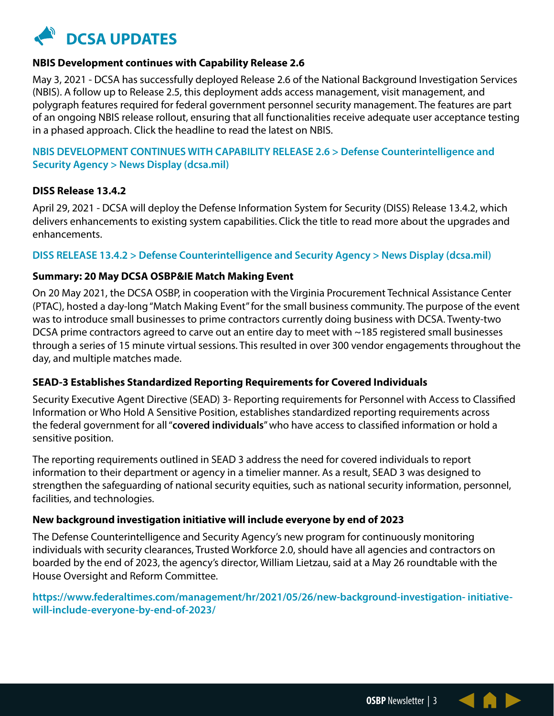<span id="page-2-0"></span>

#### **NBIS Development continues with Capability Release 2.6**

May 3, 2021 - DCSA has successfully deployed Release 2.6 of the National Background Investigation Services (NBIS). A follow up to Release 2.5, this deployment adds access management, visit management, and polygraph features required for federal government personnel security management. The features are part of an ongoing NBIS release rollout, ensuring that all functionalities receive adequate user acceptance testing in a phased approach. Click the headline to read the latest on NBIS.

## **[NBIS DEVELOPMENT CONTINUES WITH CAPABILITY RELEASE 2.6 > Defense Counterintelligence and](https://www.dcsa.mil/About-Us/News/News-Display/Article/2593139/nbis-development-continues-with-capability-release-26/)  [Security Agency > News Display \(dcsa.mil\)](https://www.dcsa.mil/About-Us/News/News-Display/Article/2593139/nbis-development-continues-with-capability-release-26/)**

#### **DISS Release 13.4.2**

April 29, 2021 - DCSA will deploy the Defense Information System for Security (DISS) Release 13.4.2, which delivers enhancements to existing system capabilities. Click the title to read more about the upgrades and enhancements.

#### **[DISS RELEASE 13.4.2 > Defense Counterintelligence and Security Agency > News Display \(dcsa.mil\)](https://www.dcsa.mil/About-Us/News/News-Display/Article/2589699/diss-release-1342/)**

#### **Summary: 20 May DCSA OSBP&IE Match Making Event**

On 20 May 2021, the DCSA OSBP, in cooperation with the Virginia Procurement Technical Assistance Center (PTAC), hosted a day-long "Match Making Event" for the small business community. The purpose of the event was to introduce small businesses to prime contractors currently doing business with DCSA. Twenty-two DCSA prime contractors agreed to carve out an entire day to meet with ~185 registered small businesses through a series of 15 minute virtual sessions. This resulted in over 300 vendor engagements throughout the day, and multiple matches made.

### **SEAD-3 Establishes Standardized Reporting Requirements for Covered Individuals**

Security Executive Agent Directive (SEAD) 3- Reporting requirements for Personnel with Access to Classified Information or Who Hold A Sensitive Position, establishes standardized reporting requirements across the federal government for all "**covered individuals**" who have access to classified information or hold a sensitive position.

The reporting requirements outlined in SEAD 3 address the need for covered individuals to report information to their department or agency in a timelier manner. As a result, SEAD 3 was designed to strengthen the safeguarding of national security equities, such as national security information, personnel, facilities, and technologies.

#### **New background investigation initiative will include everyone by end of 2023**

The Defense Counterintelligence and Security Agency's new program for continuously monitoring individuals with security clearances, Trusted Workforce 2.0, should have all agencies and contractors on boarded by the end of 2023, the agency's director, William Lietzau, said at a May 26 roundtable with the House Oversight and Reform Committee.

### **https://www.federaltimes.com/management/hr/2021/05/26/new-background-investigation- initiativewill-include-everyone-by-end-of-2023/**

**OSBP** Newsletter | 3

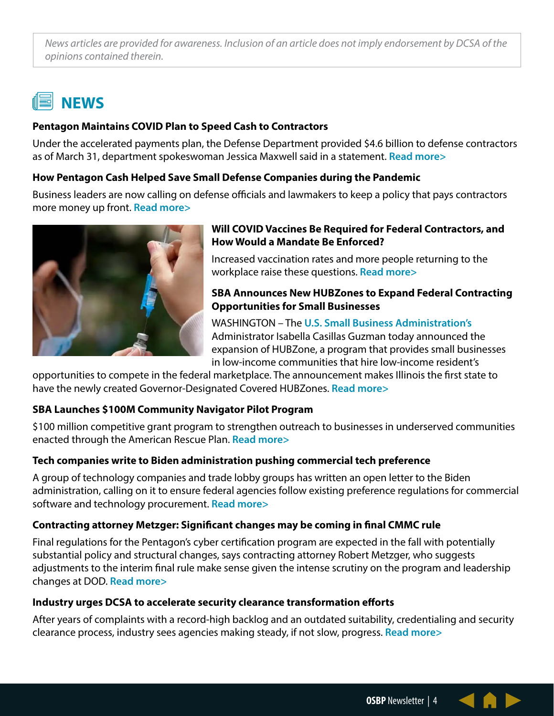<span id="page-3-0"></span>*News articles are provided for awareness. Inclusion of an article does not imply endorsement by DCSA of the opinions contained therein.*

# **NEWS**

## **Pentagon Maintains COVID Plan to Speed Cash to Contractors**

Under the accelerated payments plan, the Defense Department provided \$4.6 billion to defense contractors as of March 31, department spokeswoman Jessica Maxwell said in a statement. **[Read more>](https://www.bloomberg.c m/news/articles/2021-05-10/pentagon-presses-on-with-covid-plan-to-speed-cash-to-contractors)**

## **How Pentagon Cash Helped Save Small Defense Companies during the Pandemic**

Business leaders are now calling on defense officials and lawmakers to keep a policy that pays contractors more money up front. **[Read more>](https://www.defenseone.com/business/2021/05/how- pentagon-cash-helped-save-small-defense-companies-during-pandemic/174222/)**



# **Will COVID Vaccines Be Required for Federal Contractors, and How Would a Mandate Be Enforced?**

Increased vaccination rates and more people returning to the workplace raise these questions. **[Read more>](https://www.govexec.com/management/2021/05/will-covid-vaccines-be-required-federal- contractors-and-how-would-mandate-be-enforced/174060/)**

## **SBA Announces New HUBZones to Expand Federal Contracting Opportunities for Small Businesses**

WASHINGTON – The **[U.S. Small Business Administration's](http://www.sba.gov/)** Administrator Isabella Casillas Guzman today announced the expansion of HUBZone, a program that provides small businesses in low-income communities that hire low-income resident's

opportunities to compete in the federal marketplace. The announcement makes Illinois the first state to have the newly created Governor-Designated Covered HUBZones. **[Read more>](https://www.sba.gov/article/2021/may/18/sba-announces-new-hubzones-expand-federal-contracting-opportunities-small-businesses)**

### **SBA Launches \$100M Community Navigator Pilot Program**

\$100 million competitive grant program to strengthen outreach to businesses in underserved communities enacted through the American Rescue Plan. **[Read more>](https://www.sba.gov/article/2021/may/25/sba-launches-community-navigator-pilot-program-application)**

# **Tech companies write to Biden administration pushing commercial tech preference**

A group of technology companies and trade lobby groups has written an open letter to the Biden administration, calling on it to ensure federal agencies follow existing preference regulations for commercial software and technology procurement. **[Read more>](https://www.fedscoop.com/tech-companies-write-to- biden-over-commercial-preference-guidelines/)**

# **Contracting attorney Metzger: Significant changes may be coming in final CMMC rule**

Final regulations for the Pentagon's cyber certification program are expected in the fall with potentially substantial policy and structural changes, says contracting attorney Robert Metzger, who suggests adjustments to the interim final rule make sense given the intense scrutiny on the program and leadership changes at DOD. **[Read more>](https://insidedefense.com/daily-news/contracting-attorney-metzger- significant-changes-may-be-coming-final-cmmc-rule)**

### **Industry urges DCSA to accelerate security clearance transformation efforts**

After years of complaints with a record-high backlog and an outdated suitability, credentialing and security clearance process, industry sees agencies making steady, if not slow, progress. **[Read more>](https://federalnewsnetwork.com/defense-main/2021/05/industry-urges-dcsa-to-accelerate-security-clearance-transformation-efforts/)**

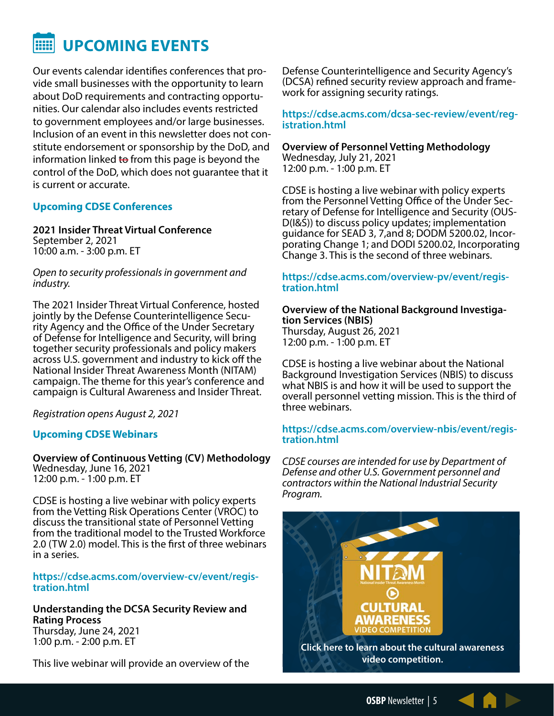#### <span id="page-4-0"></span>88 **UPCOMING EVENTS**

Our events calendar identifies conferences that provide small businesses with the opportunity to learn about DoD requirements and contracting opportunities. Our calendar also includes events restricted to government employees and/or large businesses. Inclusion of an event in this newsletter does not constitute endorsement or sponsorship by the DoD, and information linked to from this page is beyond the control of the DoD, which does not guarantee that it is current or accurate.

#### **Upcoming CDSE Conferences**

**2021 Insider Threat Virtual Conference** September 2, 2021 10:00 a.m. - 3:00 p.m. ET

*Open to security professionals in government and industry.*

The 2021 Insider Threat Virtual Conference, hosted jointly by the Defense Counterintelligence Security Agency and the Office of the Under Secretary of Defense for Intelligence and Security, will bring together security professionals and policy makers across U.S. government and industry to kick off the National Insider Threat Awareness Month (NITAM) campaign. The theme for this year's conference and campaign is Cultural Awareness and Insider Threat.

*Registration opens August 2, 2021*

### **Upcoming CDSE Webinars**

**Overview of Continuous Vetting (CV) Methodology** Wednesday, June 16, 2021 12:00 p.m. - 1:00 p.m. ET

CDSE is hosting a live webinar with policy experts from the Vetting Risk Operations Center (VROC) to discuss the transitional state of Personnel Vetting from the traditional model to the Trusted Workforce 2.0 (TW 2.0) model. This is the first of three webinars in a series.

**https://cdse.acms.com/overview-cv/event/registration.html**

**Understanding the DCSA Security Review and Rating Process** Thursday, June 24, 2021 1:00 p.m. - 2:00 p.m. ET

This live webinar will provide an overview of the

Defense Counterintelligence and Security Agency's (DCSA) refined security review approach and frame- work for assigning security ratings.

**https://cdse.acms.com/dcsa-sec-review/event/reg- istration.html**

**Overview of Personnel Vetting Methodology** Wednesday, July 21, 2021 12:00 p.m. - 1:00 p.m. ET

CDSE is hosting a live webinar with policy experts from the Personnel Vetting Office of the Under Sec-<br>retary of Defense for Intelligence and Security (OUS-<br>D(I&S)) to discuss policy updates; implementation guidance for SEAD 3, 7,and 8; DODM 5200.02, Incor- porating Change 1; and DODI 5200.02, Incorporating Change 3. This is the second of three webinars.

# **https://cdse.acms.com/overview-pv/event/regis- tration.html**

**Overview of the National Background Investiga- tion Services (NBIS)** Thursday, August 26, 2021 12:00 p.m. - 1:00 p.m. ET

CDSE is hosting a live webinar about the National Background Investigation Services (NBIS) to discuss what NBIS is and how it will be used to support the overall personnel vetting mission. This is the third of three webinars.

#### **[https://cdse.acms.com/overview-nbis/event/regis](https://cdse.acms.com/overview-nbis/event/registration.html)[tration.html](https://cdse.acms.com/overview-nbis/event/registration.html)**

*CDSE courses are intended for use by Department of Defense and other U.S. Government personnel and contractors within the National Industrial Security Program.*